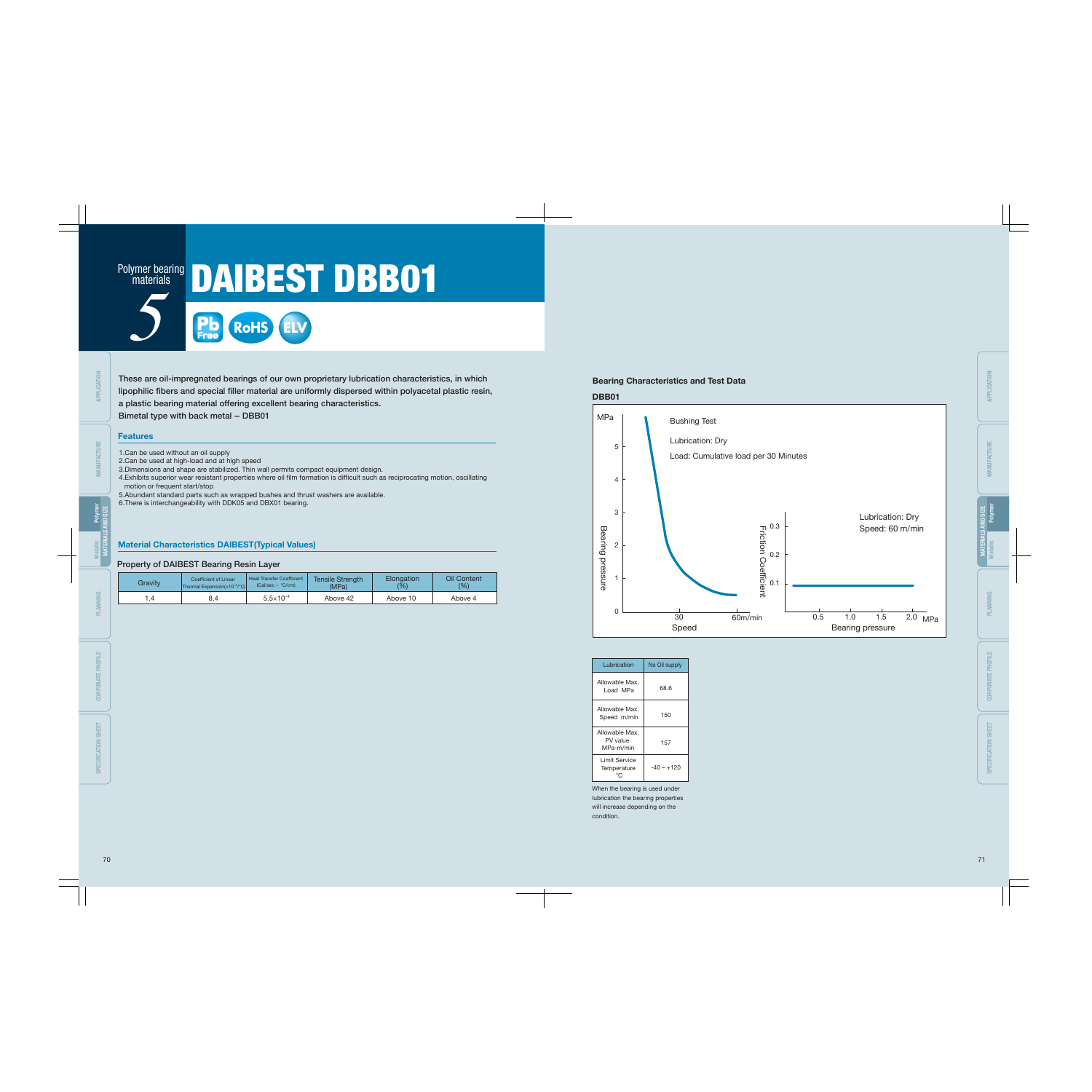These are oil-impregnated bearings of our own proprietary lubrication characteristics, in which lipophilic fibers and special filler material are uniformly dispersed within polyacetal plastic resin,

a plastic bearing material offering excellent bearing characteristics. Bimetal type with back metal - DBB01

#### **Features**

## Material Characteristics DAIBEST(Typical Values)

### Property of DAIBEST Bearing Resin Layer

| Gravity | Coefficient of Linear                             | <b>Heat Transfer Coefficient</b> | <b>Tensile Strength</b> | Elongation | Oil Content |
|---------|---------------------------------------------------|----------------------------------|-------------------------|------------|-------------|
|         | Thermal Expansion( $\times$ 10 <sup>-5</sup> /°C) | $(Cal/sec \cdot C/cm)$           | (MPa)                   | (%)        | (%)         |
| . .4    |                                                   | $5.5 \times 10^{-4}$             | Above 42                | Above 10   | Above 4     |

| Lubrication                             | No Oil supply |
|-----------------------------------------|---------------|
| Allowable Max.<br>Load MPa              | 68.6          |
| Allowable Max.<br>Speed m/min           | 150           |
| Allowable Max.<br>PV value<br>MPa-m/min | 157           |
| I imit Service<br>Temperature           | -40 – +120    |



- 1.Can be used without an oil supply
- 2.Can be used at high-load and at high speed
- 3.Dimensions and shape are stabilized. Thin wall permits compact equipment design.
- 4. Exhibits superior wear resistant properties where oil film formation is difficult such as reciprocating motion, oscillating motion or frequent start/stop



## DAIBEST DBB01 Polymer bearing materials

- 5.Abundant standard parts such as wrapped bushes and thrust washers are available.
- 6.There is interchangeability with DDK05 and DBX01 bearing.

When the bearing is used under lubrication the bearing properties will increase depending on the condition.

MANUFACTURE

SPECIFICATION SHEET

SPECIFICATION SHEET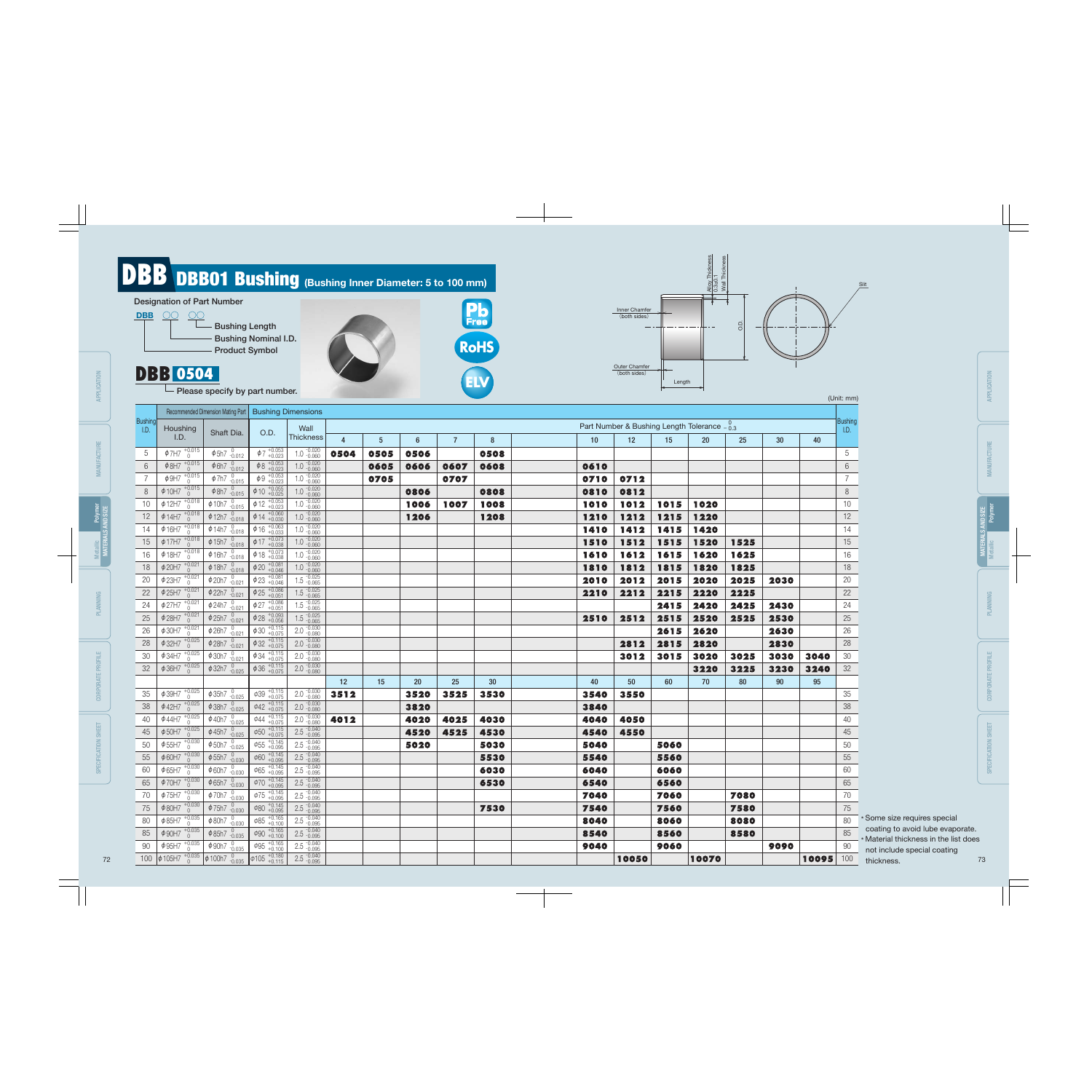85 90

100  $\phi$  105H7  $^{+0.035}_{0}$ 

APPLICATION APPLICATION MANUFACTURE Polymer MATERIALS AND SIZE Metallic PLANNING CORPORATE PROFILE SPECIFICATION SHEET

APPLICATION APPLICATION

MANUFACTURE MAN

φ95H7

+0.035 0

 $\overline{\phi 90}$  +0.165<br>+0.100  $\Phi$ 95 +0.165  $\phi$ 105 +0.180  $2.5 - 0.040$  $2.5 - 0.040$  $2.5 - 0.040$ 

 $\phi$ 85h7 $_{-0.035}$  $\phi$ 90h7 $_{-0.035}$  $\phi$ 100h7 $_{-0.035}$ 

|      |       | (Unit: mm)             |
|------|-------|------------------------|
|      |       |                        |
|      |       | <b>Bushing</b><br>I.D. |
| 30   | 40    |                        |
|      |       | 5                      |
|      |       | 6                      |
|      |       | 7                      |
|      |       | 8                      |
|      |       | 10                     |
|      |       | 12                     |
|      |       | 14                     |
|      |       | 15                     |
|      |       | 16                     |
|      |       | 18                     |
| 2030 |       | 20                     |
|      |       | 22                     |
| 2430 |       | 24                     |
| 2530 |       | 25                     |
| 2630 |       | 26                     |
| 2830 |       | 28                     |
| 3030 | 3040  | 30                     |
| 3230 | 3240  | 32                     |
| 90   | 95    |                        |
|      |       | 35                     |
|      |       | 38                     |
|      |       | 40                     |
|      |       | 45                     |
|      |       | 50                     |
|      |       | 55                     |
|      |       | 60                     |
|      |       | 65                     |
|      |       | 70                     |
|      |       | 75                     |
|      |       | j<br>80                |
|      |       | 85                     |
| 9090 |       | 90                     |
|      | 10095 | 100                    |



8540

9040

8560

9060

8580

- \* Some size requires special coating to avoid lube evaporate.
- \* Material thickness in the list does not include special coating thickness. 72 73

SPECIFICATION SHEET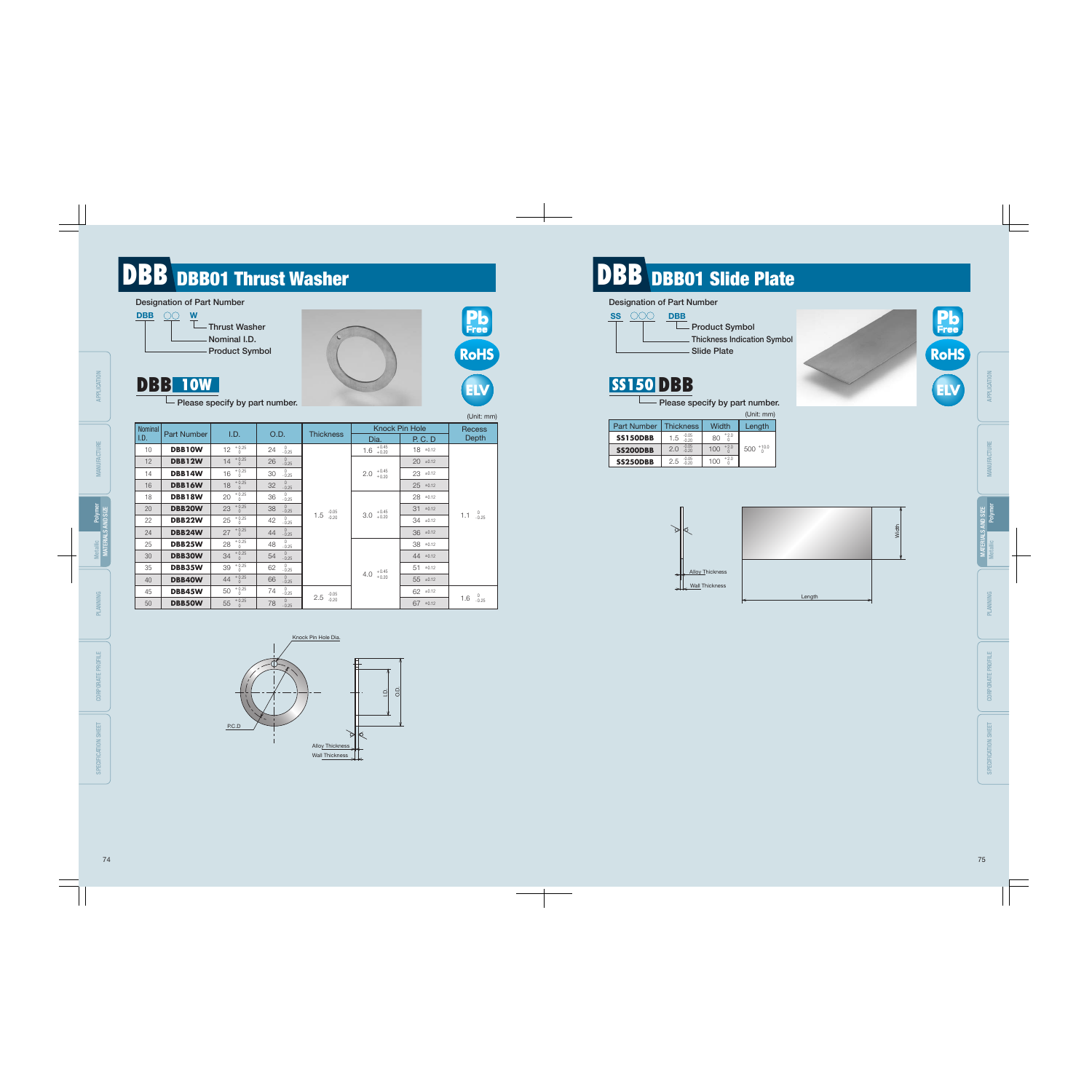# **DBB** DBB01 Thrust Washer **DBB** DBB DBB01 Slide Plate

 $55\begin{array}{c} +0.25 \\ 0 \end{array}$ 

Please specify by part number.



**SS150 DBB** 



|        | Width |
|--------|-------|
| Length |       |



 $\dot{\Xi}$ O.D.





Wall Thickness



 $78^{0}$ <sub>-0.25</sub>

|                | ----               | Please specify by part number. |                               |                           |                           |                | ELV                           |
|----------------|--------------------|--------------------------------|-------------------------------|---------------------------|---------------------------|----------------|-------------------------------|
|                |                    |                                |                               |                           |                           |                | (Unit: mm)                    |
| <b>Nominal</b> |                    |                                |                               |                           | <b>Knock Pin Hole</b>     | <b>Recess</b>  |                               |
| I.D.           | <b>Part Number</b> | I.D.                           | O.D.                          | <b>Thickness</b>          | Dia.                      | <b>P. C. D</b> | <b>Depth</b>                  |
| 10             | <b>DBB10W</b>      | $+0.25$<br>12<br>$\Omega$      | $0 - 0.25$<br>24              |                           | $+0.45$<br>1.6<br>$+0.20$ | $18 \pm 0.12$  |                               |
| 12             | <b>DBB12W</b>      | $+0.25$<br>14<br>$\Omega$      | $\mathbf{0}$<br>26<br>$-0.25$ |                           |                           | $20 \pm 0.12$  |                               |
| 14             | DBB14W             | $+0.25$<br>16<br>$\Omega$      | 0<br>30<br>$-0.25$            |                           | $+0.45$<br>2.0<br>$+0.20$ | $23 \pm 0.12$  |                               |
| 16             | DBB16W             | $+0.25$<br>18<br>$\Omega$      | $0 - 0.25$<br>32              |                           |                           | $25 \pm 0.12$  |                               |
| 18             | DBB18W             | $+0.25$<br>20<br>$\Omega$      | $\mathbf{0}$<br>36<br>$-0.25$ |                           |                           | $28 \pm 0.12$  |                               |
| 20             | <b>DBB20W</b>      | $+0.25$<br>23<br>$\Omega$      | $\mathbf 0$<br>38<br>$-0.25$  |                           | $+0.45$                   | 31<br>±0.12    | $\mathbf{0}$                  |
| 22             | DBB22W             | $+0.25$<br>25<br>$\Omega$      | 0<br>42<br>$-0.25$            | $-0.05$<br>$-0.20$<br>1.5 | 3.0<br>$+0.20$            | $34 \pm 0.12$  | 1.1<br>$-0.25$                |
| 24             | DBB24W             | $+0.25$<br>27<br>$\Omega$      | $\theta$<br>44<br>$-0.25$     |                           |                           | $36 \pm 0.12$  |                               |
| 25             | DBB25W             | $+0.25$<br>28<br>$\Omega$      | 0<br>48<br>$-0.25$            |                           |                           | $38 \pm 0.12$  |                               |
| 30             | DBB30W             | $+0.25$<br>34<br>$\Omega$      | $\theta$<br>54<br>$-0.25$     |                           |                           | $44 \pm 0.12$  |                               |
| 35             | DBB35W             | $+0.25$<br>39<br>$\Omega$      | $0 - 0.25$<br>62              |                           |                           | $51 \pm 0.12$  |                               |
| 40             | <b>DBB40W</b>      | $+0.25$<br>44<br>$\Omega$      | $0 - 0.25$<br>66              |                           | $+0.45$<br>+0.20<br>4.0   | $55 = 0.12$    |                               |
| 45             | DBB45W             | $+0.25$<br>50<br>$\Omega$      | $\mathbf{0}$<br>74<br>$-0.25$ | $-0.05$                   |                           | $62 \pm 0.12$  | 0                             |
| $E \cap$       | <b>DDDEOIAI</b>    | $55^{+0.25}$                   | $\mathbf{0}$<br>7Q            | 2.5<br>$-0.20$            |                           | $67 + 012$     | $1.6\degree$ <sub>-0.25</sub> |

|                    |                             |                     | (Unit: mm)        |
|--------------------|-----------------------------|---------------------|-------------------|
| <b>Part Number</b> | Thickness                   | Width               | Length            |
| <b>SS150DBB</b>    | $1.5 \tbinom{-0.05}{-0.20}$ | $^{+2.0}_{0}$<br>80 |                   |
| <b>SS200DBB</b>    | $-0.05$<br>$-0.20$<br>2.0   | $+2.0$<br>100       | $500^{+10.0}_{0}$ |
| <b>SS250DBB</b>    | $-0.05$<br>$-0.20$<br>2.5   | $+2.0$<br>100       |                   |

50

**DBB50W**

±0.12 67





CORPORATE PROFILE

MATERIALS AND SIZE

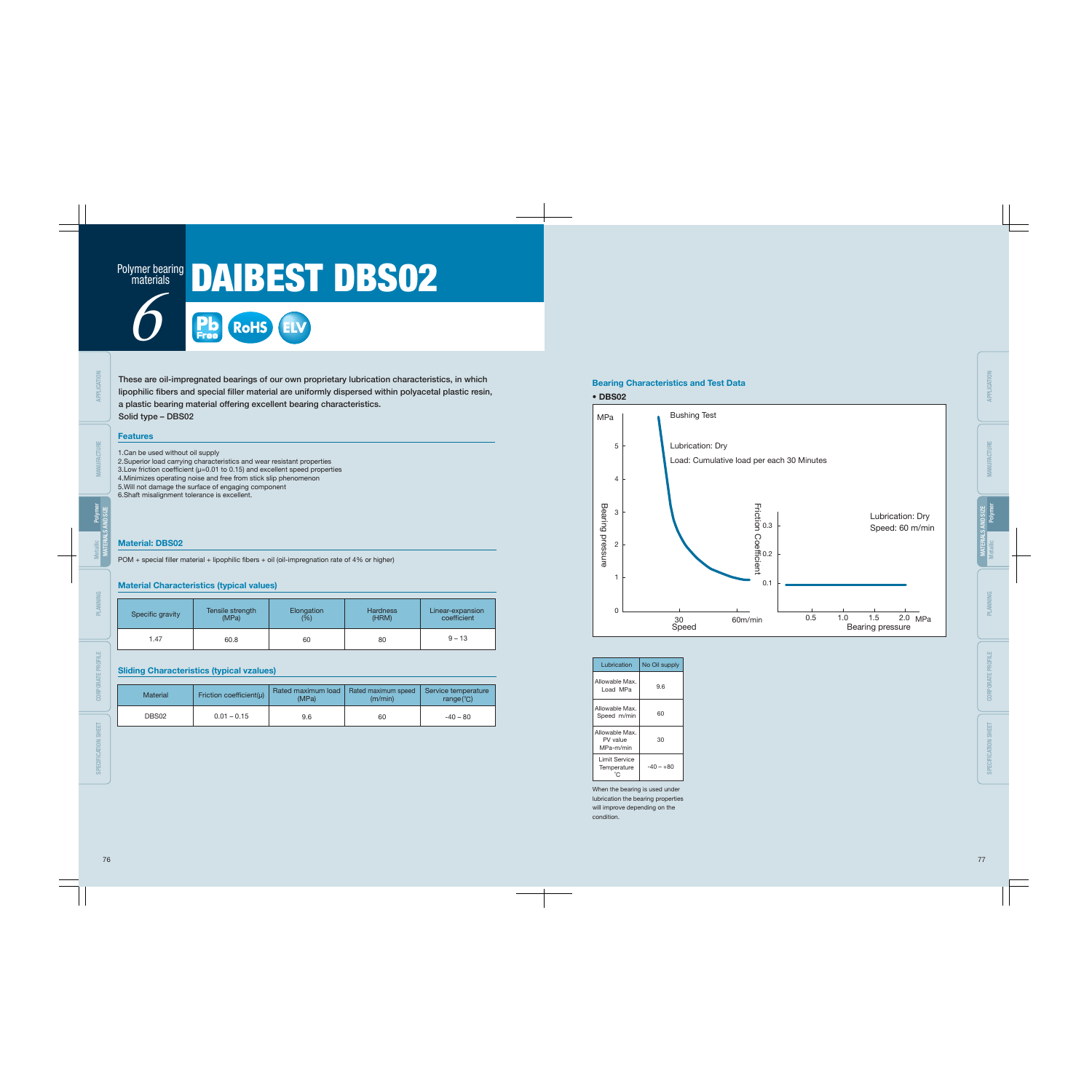These are oil-impregnated bearings of our own proprietary lubrication characteristics, in which lipophilic fibers and special filler material are uniformly dispersed within polyacetal plastic resin,

a plastic bearing material offering excellent bearing characteristics.

Solid type – DBS02

1.Can be used without oil supply

2.Superior load carrying characteristics and wear resistant properties 3.Low friction coefficient ( $\mu$ =0.01 to 0.15) and excellent speed properties 4.Minimizes operating noise and free from stick slip phenomenon 5.Will not damage the surface of engaging component 6.Shaft misalignment tolerance is excellent.

## Material Characteristics (typical values)

## Sliding Characteristics (typical vzalues)

# Polymer bearing DAIBEST DBS02 materials

## Material: DBS02

 $POM + special filter material + lipophilic fibers + oil (oil-imgregation rate of 4% or higher)$ 

When the bearing is used under lubrication the bearing properties will improve depending on the condition.

| Lubrication                             | No Oil supply |
|-----------------------------------------|---------------|
| Allowable Max.<br>Load MPa              | 9.6           |
| Allowable Max.<br>Speed m/min           | 60            |
| Allowable Max.<br>PV value<br>MPa-m/min | 30            |
| Limit Service<br>Temperature            | -40 – +80     |

6 **RoHS ELV**



| Specific gravity | Tensile strength | Elongation | <b>Hardness</b> | Linear-expansion |
|------------------|------------------|------------|-----------------|------------------|
|                  | (MPa)            | (%)        | (HRM)           | coefficient      |
| 1.47             | 60.8             | 60         | 80              | $9 - 13$         |

| Material | Friction coefficient( $\mu$ ) | Rated maximum load<br>(MPa) | Rated maximum speed<br>(m/min) | Service temperature<br>range $(^{\circ}C)$ |
|----------|-------------------------------|-----------------------------|--------------------------------|--------------------------------------------|
| DBS02    | $0.01 - 0.15$                 | 9.6                         | 60                             | $-40 - 80$                                 |

SPECIFICATION SHEET

SPECIFICATION SHEET

MANUFACTURE

MATERIALS AND SIZE

Polymer

Metallic

**Features**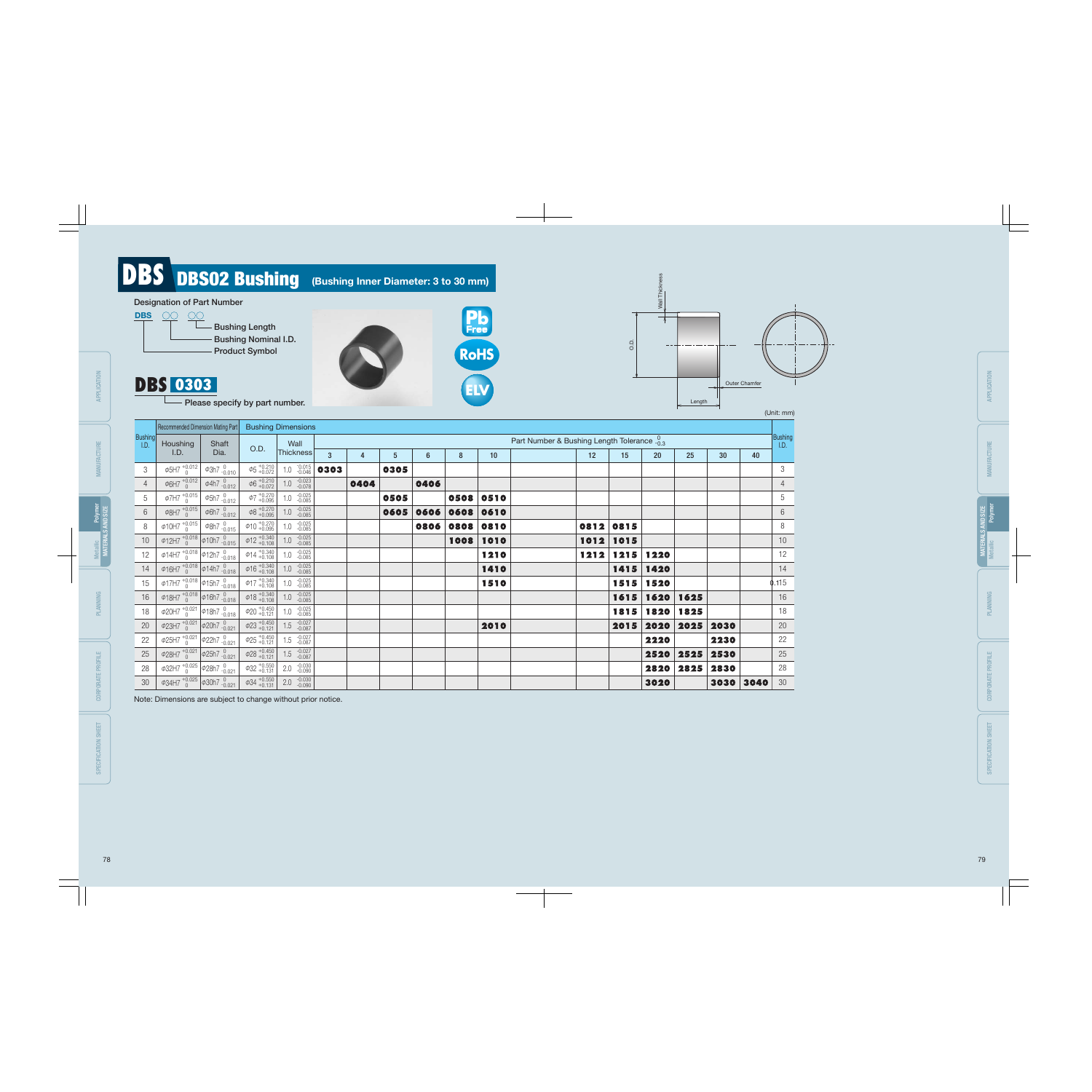|                 | Recommended Dimension Mating Part                                       |                              |                                        | <b>Bushing Dimensions</b>                           |                |      |                |                |      |      |                                             |        |      |                    |                |                 |    |                  |
|-----------------|-------------------------------------------------------------------------|------------------------------|----------------------------------------|-----------------------------------------------------|----------------|------|----------------|----------------|------|------|---------------------------------------------|--------|------|--------------------|----------------|-----------------|----|------------------|
| Bushing<br>I.D. | Houshing                                                                | Shaft                        |                                        | Wall                                                |                |      |                |                |      |      | Part Number & Bushing Length Tolerance -0.3 |        |      |                    |                |                 |    | Bushing]<br>1.D. |
|                 | I.D.                                                                    | Dia.                         | O.D.                                   | <b>Thickness</b>                                    | $\overline{3}$ | 4    | 5 <sup>5</sup> | $6\phantom{1}$ | 8    | 10   |                                             | 12     | 15   | 20                 | 25             | 30 <sup>°</sup> | 40 |                  |
| 3               | $\phi$ 5H7 $^{+0.012}_{0}$                                              | $\phi$ 3h7 $^{0}_{-0.010}$   | $\phi$ 5 +0.210                        | $1.0 \begin{array}{c} -0.015 \\ -0.046 \end{array}$ | 0303           |      | 0305           |                |      |      |                                             |        |      |                    |                |                 |    | $\mathfrak{Z}$   |
| $\overline{4}$  | $\phi$ 6H7 $^{+0.012}_{0}$                                              | $\phi$ 4h7 $^{0}_{-0.012}$   | $\phi$ 6 +0.210                        | $1.0 \t -0.023 \t -0.078$                           |                | 0404 |                | 0406           |      |      |                                             |        |      |                    |                |                 |    | $\overline{4}$   |
| 5               | $\phi$ 7H7 $^{+0.015}_{0}$                                              | $\phi$ 5h7 $^{0}_{-0.012}$   | $\phi$ 7 +0.270                        | -0.025<br>-0.085<br>$1.0\,$                         |                |      | 0505           |                | 0508 | 0510 |                                             |        |      |                    |                |                 |    | $5\phantom{.0}$  |
| 6               | $\phi$ 8H7 $^{+0.015}_{0}$                                              | $\phi$ 6h7 $\frac{0}{0.012}$ | $\phi_8$ +0.270                        | $1.0 \t -0.025 \t -0.085$                           |                |      | 0605           | 0606           | 0608 | 0610 |                                             |        |      |                    |                |                 |    | $6\,$            |
| 8               | $\phi$ 10H7 $^{+0.015}_{0}$                                             | $\phi$ 8h7 $^{0}_{-0.015}$   | $\phi$ 10 $^{+0.270}_{+0.095}$         | $1.0 -0.025$                                        |                |      |                | 0806           | 0808 | 0810 |                                             | 0812   | 0815 |                    |                |                 |    | 8                |
| 10              | $\phi$ 12H7 $^{+0.018}_{0}$ $\phi$ 10h7 $^{0.015}_{0.015}$              |                              | $\phi$ 12 +0.340                       | $1.0 \t -0.025 \t -0.085$                           |                |      |                |                | 1008 | 1010 |                                             | 1012   | 1015 |                    |                |                 |    | 10               |
| 12              | $\phi$ 14H7 $^{+0.018}_{0}$ $\phi$ 12h7 $^{0}_{-0.018}$                 |                              | $\phi$ 14 + 0.340                      | $1.0 -0.025$                                        |                |      |                |                |      | 1210 |                                             | $1212$ | 1215 | 1220               |                |                 |    | 12               |
| 14              | $\overline{\phi}$ 16H7 <sup>+0.018</sup> $\phi$ 14h7 $\frac{0}{-0.018}$ |                              | $\phi$ 16 + 0.340                      | $1.0 \t -0.025 \t -0.085$                           |                |      |                |                |      | 1410 |                                             |        | 1415 | 1420               |                |                 |    | 14               |
| 15              | $\frac{1}{\phi}$ 17H7 $^{+0.018}_{0}$ $\phi$ 15h7 $^{0}_{-0.018}$       |                              | $\phi$ 17 + 0.340                      | $1.0 \t -0.025 \t -0.085$                           |                |      |                |                |      | 1510 |                                             |        | 1515 | 1520               |                |                 |    | $\phi$ .115      |
| 16              | $\frac{1}{\phi}$ 18H7 $\frac{+0.018}{0}$ $\phi$ 16h7 $\frac{0}{-0.018}$ |                              | $\overline{\phi}$ 18 <sup>+0.340</sup> | $1.0 \t -0.025 \t -0.085$                           |                |      |                |                |      |      |                                             |        | 1615 | 1620               | 1625           |                 |    | 16               |
| 18              | $\phi$ 20H7 $^{+0.021}_{0}$ $\phi$ 18h7 $^{0}_{-0.018}$                 |                              | $\phi$ 20 + 0.450                      | $1.0 -0.025$                                        |                |      |                |                |      |      |                                             |        |      | 1815   1820   1825 |                |                 |    | 18               |
| 20              | $\overline{\phi}23H7 + 0.021$ $\phi$ 20h7 $-0.021$                      |                              | $\phi$ 23 +0.450                       | $1.5 \t -0.027 \t -0.087$                           |                |      |                |                |      | 2010 |                                             |        | 2015 |                    | 2020 2025 2030 |                 |    | $20\,$           |
| 22              | $\phi$ 25H7 $^{+0.021}_{0}$ $\phi$ 22h7 $^{0.021}_{-0.021}$             |                              | $\phi$ 25 +0.450                       | $1.5 - 0.027$                                       |                |      |                |                |      |      |                                             |        |      | 2220               |                | 2230            |    | 22               |
| 25              | $\frac{1}{28}$ +0.021 $\phi$ 25h7 -0.021                                |                              | $\phi$ 28 + 0.450                      | $-0.027$<br>$-0.087$<br>1.5                         |                |      |                |                |      |      |                                             |        |      |                    | 2520 2525      | 2530            |    | 25               |
| 28              | $\phi$ 32H7 $^{+0.025}_{0}$ $\phi$ 28h7 $^{0}_{-0.021}$                 |                              | $\phi$ 32 +0.550                       | -0.030<br>-0.090<br>2.0                             |                |      |                |                |      |      |                                             |        |      |                    | 2820 2825      | 2830            |    | 28               |
| 30 <sup>°</sup> | $\phi$ 34H7 $^{+0.025}_{0}$ $\phi$ 30h7 $^{0}_{-0.021}$                 |                              | $\left[40,404,4000,4000\right]$        | $2.0 -0.030$                                        |                |      |                |                |      |      |                                             |        |      | 3020               |                | 3030   3040     |    | 30               |

- 
- 
- 
- 
- 30

# DBS DBS02 Bushing (Bushing Inner Diameter: 3 to 30 mm)

## Designation of Part Number



# DBS 0303

- Please specify by part number.





Note: Dimensions are subject to change without prior notice.

### (Unit: mm)

**ELV RoHS**

**Pb**<br>Free

CORPORATE PROFILE

**CORPORATE PROFILE** 

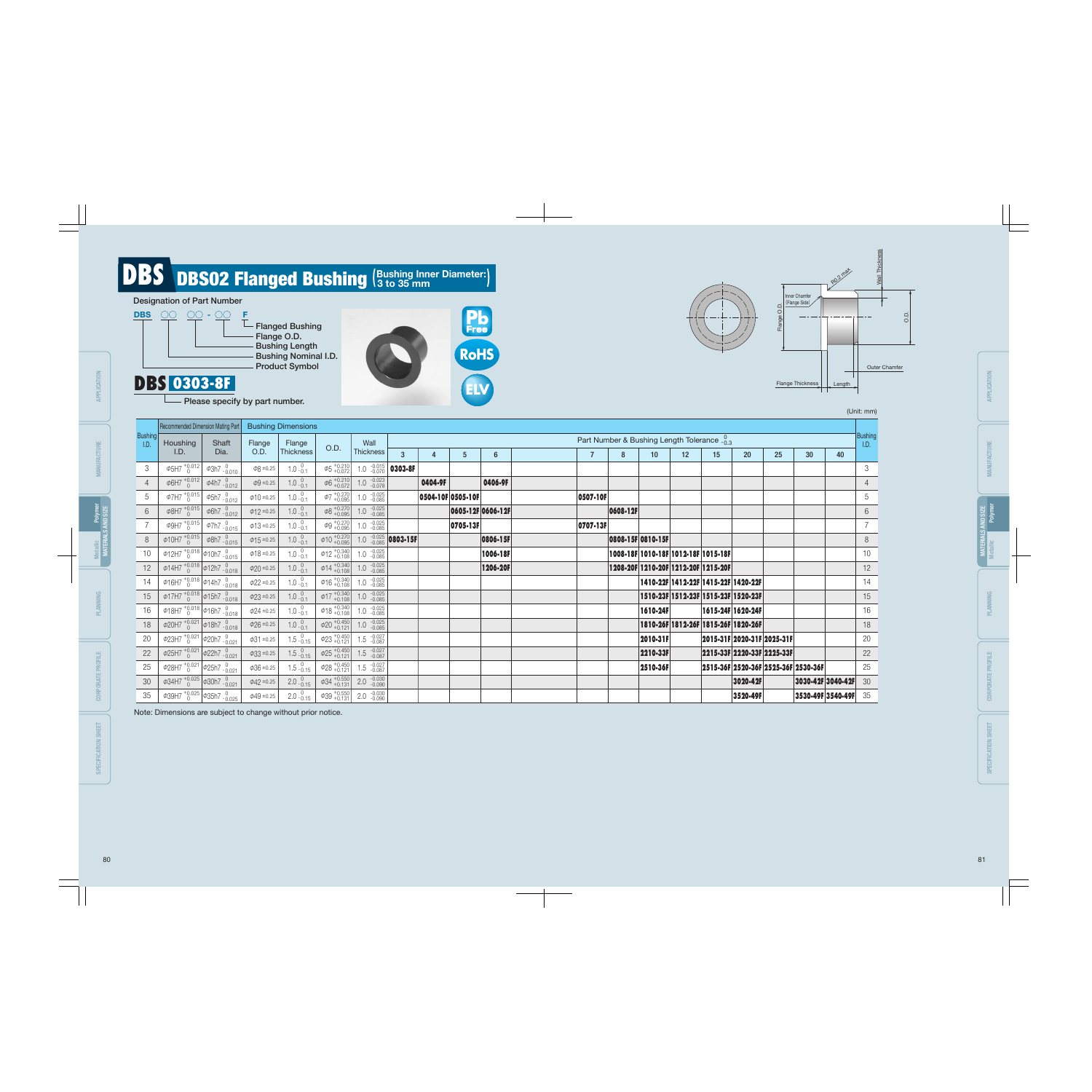|                        | Recommended Dimension Mating Part                              |                                                       |                 | <b>Bushing Dimensions</b>               |                                           |                                                      |                                     |         |                   |                   |                 |                                                        |                |                                     |    |                            |    |                                     |                          |                        |    |  |
|------------------------|----------------------------------------------------------------|-------------------------------------------------------|-----------------|-----------------------------------------|-------------------------------------------|------------------------------------------------------|-------------------------------------|---------|-------------------|-------------------|-----------------|--------------------------------------------------------|----------------|-------------------------------------|----|----------------------------|----|-------------------------------------|--------------------------|------------------------|----|--|
| <b>Bushing</b><br>I.D. | Houshing                                                       | Shaft                                                 | Flange          | Flange                                  |                                           | Wall                                                 |                                     |         |                   |                   |                 | Part Number & Bushing Length Tolerance $\frac{0}{103}$ |                |                                     |    |                            |    |                                     |                          | <b>Bushing</b><br>1.D. |    |  |
|                        | I.D.                                                           | Dia.                                                  | O.D.            | <b>Thickness</b>                        | O.D.                                      | Thickness                                            |                                     |         | $\mathbf{3}$      | $\overline{4}$    | $5\phantom{.0}$ | 6                                                      | $\overline{7}$ | 8                                   | 10 | 12                         | 15 | <b>20</b>                           | 25 <sub>2</sub>          | 30                     | 40 |  |
| 3                      | $\phi$ 5H7 $^{+0.012}_{0}$                                     | $\phi$ 3h7 $^{0}_{-0.010}$                            | $\phi$ 8 ±0.25  | $1.0 \frac{0}{0.1}$                     | $\Phi$ <sup>+0.210</sup>                  |                                                      | 1.0 $\frac{-0.015}{-0.070}$ 0303-8F |         |                   |                   |                 |                                                        |                |                                     |    |                            |    |                                     |                          | 3                      |    |  |
| $\overline{4}$         | $\phi$ 6H7 $^{+0.012}_{0}$                                     | $\phi$ 4h7 $^{0}_{-0.012}$                            | $\phi$ 9 ±0.25  | $1.0^{0}_{-0.1}$                        | $\left  \phi_6 \right _{+0.072}^{+0.210}$ | $1.0 \t -0.023 \t -0.078$                            |                                     | 0404-9F |                   | 0406-9F           |                 |                                                        |                |                                     |    |                            |    |                                     |                          |                        |    |  |
| 5                      | $\phi$ 7H7 $^{+0.015}_{0}$                                     | $\phi$ 5h7 $^{0}_{-0.012}$                            | $\phi$ 10 ±0.25 | 1.0 $^{0}_{-0.1}$                       | $\phi$ 7 +0.270                           | $1.0 \t -0.025 \t -0.085$                            |                                     |         | 0504-10F 0505-10F |                   | 0507-10F        |                                                        |                |                                     |    |                            |    |                                     |                          | 5                      |    |  |
| $6\phantom{.}$         |                                                                | $\phi$ 8H7 $^{+0.015}_{0}$ $\phi$ 6h7 $^{0}_{-0.012}$ | $\phi$ 12 ±0.25 | $1.0 \cdot \substack{0.1 \\ -0.1}$      | $\left  \phi_0 \right _{+0.095}^{+0.270}$ | $1.0 \t -0.025 \t -0.085$                            |                                     |         |                   | 0605-12F 0606-12F |                 | 0608-12F                                               |                |                                     |    |                            |    |                                     |                          | $6\phantom{.}6$        |    |  |
|                        | $\phi$ 9H7 $^{+0.015}_{0}$                                     | $\phi$ 7h7 $^{0}$ <sub>-0.015</sub>                   | $\phi$ 13 ±0.25 | 1.0 $^{0}$ <sub>-0.1</sub>              | $\phi$ 9 + 0.270                          | $1.0 \t -0.025 \t -0.085$                            |                                     |         | 0705-13F          |                   | 0707-13F        |                                                        |                |                                     |    |                            |    |                                     |                          | $\overline{7}$         |    |  |
| 8                      | $\boxed{\phi_10H7 + 0.015}$ $\phi_8h7 - 0.015$                 |                                                       | $\phi$ 15 ±0.25 | $1.0 \frac{0}{0.1}$                     | $\phi$ 10 + 0.270                         | 1.0 $\frac{-0.025}{-0.085}$ 0803-15F                 |                                     |         |                   | 0806-15F          |                 | 0808-15F 0810-15F                                      |                |                                     |    |                            |    |                                     |                          | 8                      |    |  |
| 10 <sup>°</sup>        | $\phi$ 12H7 $^{+0.018}_{0}$ $\phi$ 10h7 $^{0.015}_{0.015}$     |                                                       | $\phi$ 18 ±0.25 | $1.0^{0}$                               | $\phi$ 12 + 0.340                         | $1.0 \t -0.025 \t -0.085$                            |                                     |         |                   | 1006-18F          |                 |                                                        |                | 1008-18F 1010-18F 1012-18F 1015-18F |    |                            |    |                                     |                          | 10                     |    |  |
| 12                     | $\boxed{\phi$ 14H7 $^{+0.018}_{0}$ $\phi$ 12h7 $^{0}_{-0.018}$ |                                                       | $\phi$ 20 ±0.25 | $1.0 \frac{0}{0.1}$                     | $\phi$ 14 + 0.340                         | $1.0 \t -0.025 \t -0.085$                            |                                     |         |                   | 1206-20F          |                 |                                                        |                | 1208-20F 1210-20F 1212-20F 1215-20F |    |                            |    |                                     |                          | 12                     |    |  |
| 14                     | $\phi$ 16H7 $^{+0.018}_{0}$ $\phi$ 14h7 $^{0}_{-0.018}$        |                                                       | $\phi$ 22 ±0.25 | $1.0^{0}_{-0.1}$                        | $\varphi$ 16 + 0.340                      | $1.0 \t -0.025 \t -0.085$                            |                                     |         |                   |                   |                 |                                                        |                | 1410-22F 1412-22F 1415-22F 1420-22F |    |                            |    |                                     |                          | 14                     |    |  |
| 15                     | $\phi$ 17H7 $^{+0.018}_{0}$ $\phi$ 15h7 $^{0}_{-0.018}$        |                                                       | $\phi$ 23 ±0.25 | $1.0^{0}_{-0.1}$                        | $\phi$ 17 + 0.340                         | $1.0 \t -0.025 \t -0.085$                            |                                     |         |                   |                   |                 |                                                        |                | 1510-23F 1512-23F 1515-23F 1520-23F |    |                            |    |                                     |                          | 15                     |    |  |
| 16                     | $\phi$ 18H7 $^{+0.018}_{0}$ $\phi$ 16h7 $^{0}_{-0.018}$        |                                                       | $\phi$ 24 ±0.25 | $1.0^{0}_{-0.1}$                        | $\phi$ 18 + 0.340                         | $1.0 \t -0.025 \t -0.085$                            |                                     |         |                   |                   |                 |                                                        | 1610-24F       |                                     |    | 1615-24F 1620-24F          |    |                                     |                          | 16                     |    |  |
| 18                     | $\phi$ 20H7 $^{+0.021}_{0}$ $\phi$ 18h7 $^{0}_{-0.018}$        |                                                       | $\phi$ 26 ±0.25 | $1.0 \cdot \substack{0.1 \\ 0.1}$       | $\phi$ 20 + 0.450                         | $1.0 \t -0.025 \t -0.085$                            |                                     |         |                   |                   |                 |                                                        |                | 1810-26F 1812-26F 1815-26F 1820-26F |    |                            |    |                                     |                          | 18                     |    |  |
| 20                     | $\phi$ 23H7 $^{+0.021}_{0}$ $\phi$ 20h7 $^{0.021}_{0.021}$     |                                                       | $\phi$ 31 ±0.25 | $1.5\,{}^{0}_{-0.15}$                   | $\phi$ 23 + 0.450                         | $1.5 \t -0.027 \t -0.087$                            |                                     |         |                   |                   |                 |                                                        | 2010-31F       |                                     |    | 2015-31F 2020-31F 2025-31F |    |                                     |                          | 20                     |    |  |
| 22                     | $\frac{1}{2}$ +0.021 $\phi$ 22h7 -0.021                        |                                                       | $\phi$ 33 ±0.25 | $1.5^{0}_{-0.15}$                       | $\Phi$ 25 + 0.450                         | $1.5 \t -0.027 \t -0.087$                            |                                     |         |                   |                   |                 |                                                        | 2210-33F       |                                     |    | 2215-33F 2220-33F 2225-33F |    |                                     |                          | 22                     |    |  |
| 25                     | $\frac{1}{\sqrt{28H7} + 0.021}$ $\phi$ 25h7 $\frac{0}{0.021}$  |                                                       | $\phi$ 36 ±0.25 | $\frac{0}{1.5}$ $\frac{0}{0.15}$        | $\phi$ 28 + 0.450                         | $1.5 \t -0.027 \t -0.087$                            |                                     |         |                   |                   |                 |                                                        | 2510-36F       |                                     |    |                            |    | 2515-36F 2520-36F 2525-36F 2530-36F |                          | 25                     |    |  |
| 30                     | $\phi$ 34H7 $^{+0.025}_{0}$ $\phi$ 30h7 $^{0}_{-0.021}$        |                                                       | $\phi$ 42 ±0.25 | $2.0 \begin{array}{c} 0.15 \end{array}$ | $\varphi$ 34 + 0.550                      | $2.0 \begin{array}{cc} -0.030 \\ -0.090 \end{array}$ |                                     |         |                   |                   |                 |                                                        |                |                                     |    | 3020-42F                   |    |                                     | 3030-42F 3040-42F        | 30                     |    |  |
| 35                     | $\phi$ 39H7 $^{+0.025}_{0}$ $\phi$ 35h7 $^{0}_{-0.025}$        |                                                       | $\phi$ 49 ±0.25 | $2.0 \begin{array}{c} 0.15 \end{array}$ | $\phi$ 39 + 0.550                         | $2.0 \begin{array}{cc} -0.030 \\ -0.090 \end{array}$ |                                     |         |                   |                   |                 |                                                        |                |                                     |    | 3520-49F                   |    |                                     | $ 3530-49F 3540-49F $ 35 |                        |    |  |





# **DBS** DBS02 Flanged Bushing (Bushing Inner Diameter:)

## Designation of Part Number



# DBS 0303-8F

Please specify by part number.

Note: Dimensions are subject to change without prior notice.

#### (Unit: mm)



| ×<br>Ξ<br>₹<br>ť<br>١                                     |                               |  |  |  |  |  |
|-----------------------------------------------------------|-------------------------------|--|--|--|--|--|
| CTUR<br>NHU<br><b>MAN</b>                                 |                               |  |  |  |  |  |
| $\frac{1}{2}$                                             | Polymer                       |  |  |  |  |  |
| í                                                         | <b><i><u>Metallic</u></i></b> |  |  |  |  |  |
|                                                           | <b>ANNING</b><br>£            |  |  |  |  |  |
| <b>TPROFILE</b><br>L<br>石<br>j<br><b>CORPOR</b><br>I<br>9 |                               |  |  |  |  |  |
| <b>SHET</b><br><b>SPECIFICATION:</b><br>j                 |                               |  |  |  |  |  |

CORPORATE PROFILE

CORPORATE PROFILE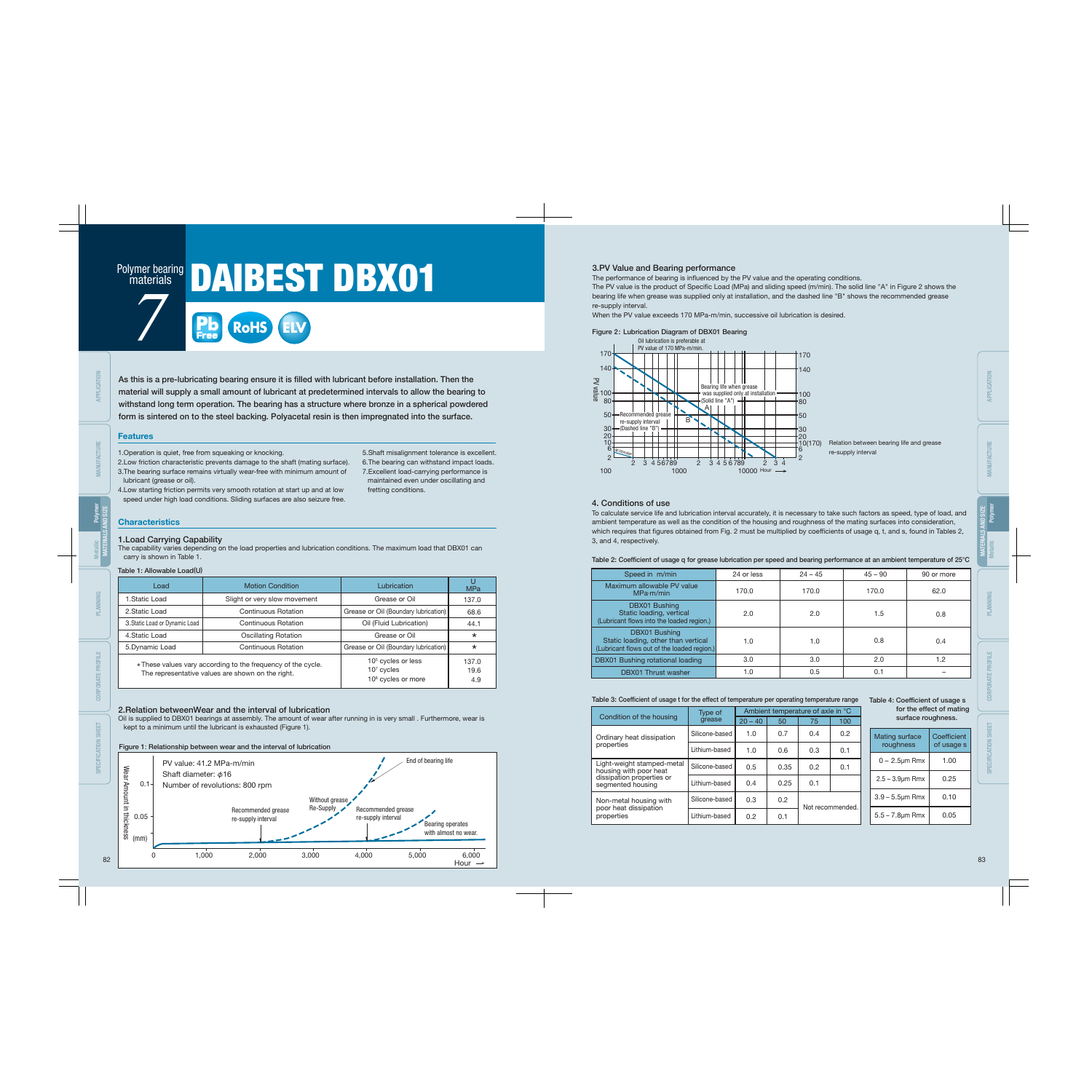# **materials**

# Polymer bearing DAIBEST DBX01

As this is a pre-lubricating bearing ensure it is filled with lubricant before installation. Then the material will supply a small amount of lubricant at predetermined intervals to allow the bearing to withstand long term operation. The bearing has a structure where bronze in a spherical powdered form is sintered on to the steel backing. Polyacetal resin is then impregnated into the surface.

#### Features

#### 1.Load Carrying Capability

The capability varies depending on the load properties and lubrication conditions. The maximum load that DBX01 can carry is shown in Table 1.

### 2.Relation betweenWear and the interval of lubrication

Oil is supplied to DBX01 bearings at assembly. The amount of wear after running in is very small . Furthermore, wear is kept to a minimum until the lubricant is exhausted (Figure 1).

#### Table 1: Allowable Load(U)

The performance of bearing is influenced by the PV value and the operating conditions. The PV value is the product of Specific Load (MPa) and sliding speed (m/min). The solid line "A" in Figure 2 shows the bearing life when grease was supplied only at installation, and the dashed line "B" shows the recommended grease re-supply interval.

1.Operation is quiet, free from squeaking or knocking.

- 2.Low friction characteristic prevents damage to the shaft (mating surface).
- 3.The bearing surface remains virtually wear-free with minimum amount of lubricant (grease or oil).
- 4.Low starting friction permits very smooth rotation at start up and at low speed under high load conditions. Sliding surfaces are also seizure free.

5.Shaft misalignment tolerance is excellent. 6.The bearing can withstand impact loads. 7.Excellent load-carrying performance is maintained even under oscillating and fretting conditions.

## **Characteristics**

#### 3.PV Value and Bearing performance

When the PV value exceeds 170 MPa-m/min, successive oil lubrication is desired.

#### Figure 2: Lubrication Diagram of DBX01 Bearing



| Load                           | <b>Motion Condition</b>                                                                                           | Lubrication                                                                      | <b>MPa</b>           |
|--------------------------------|-------------------------------------------------------------------------------------------------------------------|----------------------------------------------------------------------------------|----------------------|
| 1. Static Load                 | Slight or very slow movement                                                                                      | Grease or Oil                                                                    | 137.0                |
| 2. Static Load                 | Continuous Rotation                                                                                               | Grease or Oil (Boundary lubrication)                                             | 68.6                 |
| 3. Static Load or Dynamic Load | Continuous Rotation                                                                                               | Oil (Fluid Lubrication)                                                          | 44.1                 |
| 4. Static Load                 | <b>Oscillating Rotation</b>                                                                                       | Grease or Oil                                                                    | $\star$              |
| 5. Dynamic Load                | <b>Continuous Rotation</b>                                                                                        | Grease or Oil (Boundary lubrication)                                             | $\star$              |
|                                | * These values vary according to the frequency of the cycle.<br>The representative values are shown on the right. | 10 <sup>5</sup> cycles or less<br>$107$ cycles<br>10 <sup>8</sup> cycles or more | 137.0<br>19.6<br>4.9 |

#### 4. Conditions of use



To calculate service life and lubrication interval accurately, it is necessary to take such factors as speed, type of load, and ambient temperature as well as the condition of the housing and roughness of the mating surfaces into consideration, which requires that figures obtained from Fig. 2 must be multiplied by coefficients of usage q, t, and s, found in Tables 2, 3, and 4, respectively.

Table 2: Coefficient of usage q for grease lubrication per speed and bearing performance at an ambient temperature of 25°C

#### Table 3: Coefficient of usage t for the effect of temperature per operating temperature range

| <b>Mating surface</b><br>roughness | Coefficient<br>of usage s |
|------------------------------------|---------------------------|
| $0 - 2.5$ µm Rmx                   | 1.00                      |
| $2.5 - 3.9 \mu m$ Rmx              | 0.25                      |
| $3.9 - 5.5$ µm Rmx                 | 0.10                      |
| $5.5 - 7.8 \mu m$ Rmx              | 0.05                      |

| Speed in m/min                                                                                      | 24 or less | $24 - 45$ | $45 - 90$ | 90 or more |
|-----------------------------------------------------------------------------------------------------|------------|-----------|-----------|------------|
| Maximum allowable PV value<br>MPa·m/min                                                             | 170.0      | 170.0     | 170.0     | 62.0       |
| DBX01 Bushing<br>Static loading, vertical<br>(Lubricant flows into the loaded region.)              | 2.0        | 2.0       | 1.5       | 0.8        |
| DBX01 Bushing<br>Static loading, other than vertical<br>(Lubricant flows out of the loaded region.) | 1.0        | 1.0       | 0.8       | 0.4        |
| DBX01 Bushing rotational loading                                                                    | 3.0        | 3.0       | 2.0       | 1.2        |
| <b>DBX01 Thrust washer</b>                                                                          | 1.0        | 0.5       | 0.1       |            |

|                                                      | Type of        | Ambient temperature of axle in °C |      |     |                  |  |  |  |
|------------------------------------------------------|----------------|-----------------------------------|------|-----|------------------|--|--|--|
| Condition of the housing                             | grease         | $20 - 40$                         | 50   | 75  | 100              |  |  |  |
| Ordinary heat dissipation                            | Silicone-based | 1.0                               | 0.7  | 0.4 | 0.2              |  |  |  |
| properties                                           | Lithium-based  | 1.0                               | 0.6  | 0.3 | 0.1              |  |  |  |
| Light-weight stamped-metal<br>housing with poor heat | Silicone-based | 0.5                               | 0.35 | 0.2 | 0.1              |  |  |  |
| dissipation properties or<br>segmented housing       | Lithium-based  | 0.4                               | 0.25 | 0.1 |                  |  |  |  |
| Non-metal housing with                               | Silicone-based | 0.3                               | 0.2  |     | Not recommended. |  |  |  |
| poor heat dissipation<br>properties                  | Lithium-based  | 0.2                               | 0.1  |     |                  |  |  |  |



#### Figure 1: Relationship between wear and the interval of lubrication

Table 4: Coefficient of usage s for the effect of mating surface roughness.

APPLICATION

MANUFACTURE

SPECIFICATION SHEET

MATERIALS AND SIZE

Polymer

Metallic

APPLICATION

PLANNING

CORPORATE PROFILE

MANUFACTURE MATERIALS AND SIZE Polymer Metallic

SPECIFICATION SHEET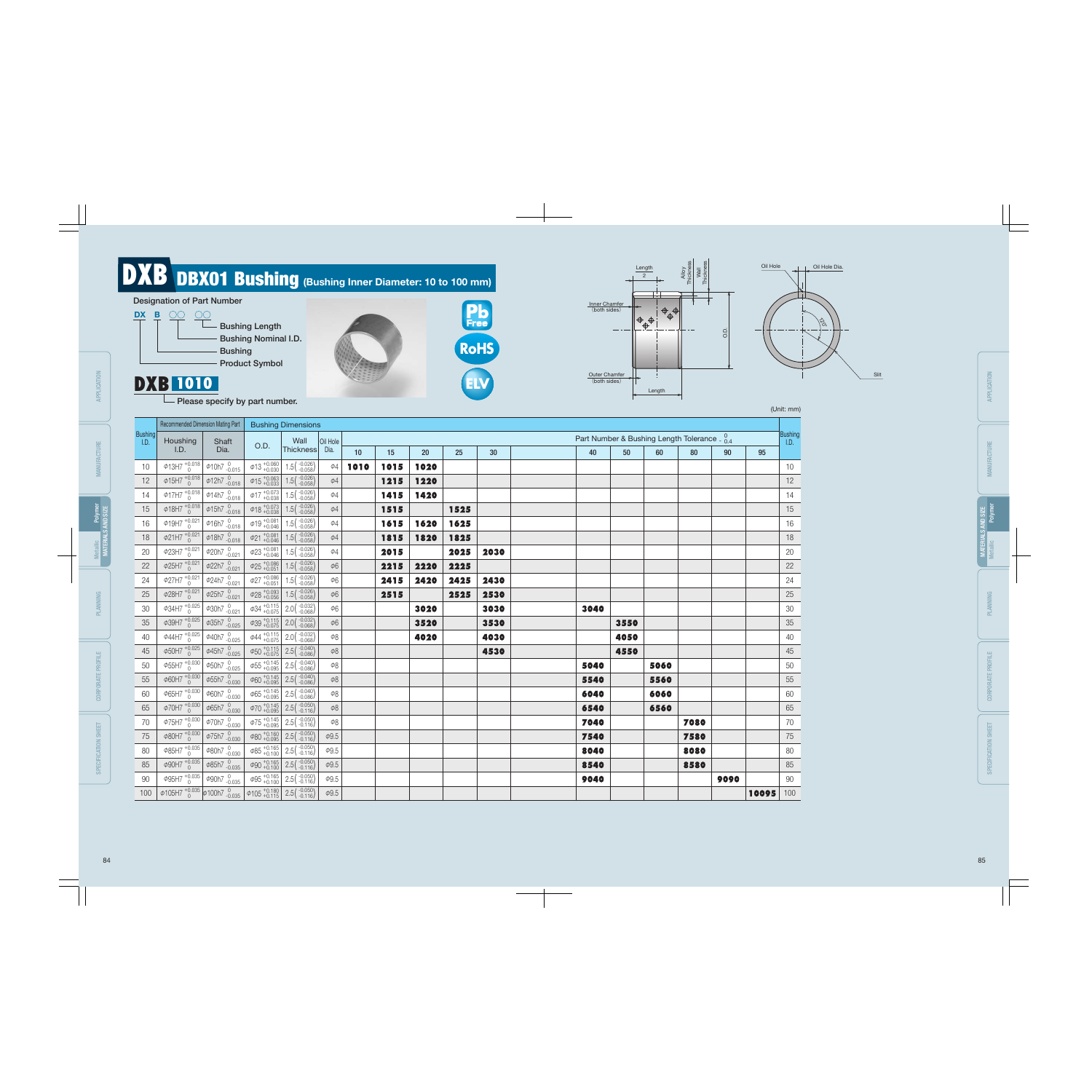|                        | Recommended Dimension Mating Part                                                                                    |                                                                                                 |                                              | <b>Bushing Dimensions</b>                                                              |                     |      |      |      |      |      |                                                        |      |      |      |      |       |                        |
|------------------------|----------------------------------------------------------------------------------------------------------------------|-------------------------------------------------------------------------------------------------|----------------------------------------------|----------------------------------------------------------------------------------------|---------------------|------|------|------|------|------|--------------------------------------------------------|------|------|------|------|-------|------------------------|
| <b>Bushing</b><br>I.D. | Houshing                                                                                                             | Shaft                                                                                           |                                              | Wall                                                                                   | Oil Hole            |      |      |      |      |      | Part Number & Bushing Length Tolerance $\frac{0}{0.4}$ |      |      |      |      |       | <b>Bushing</b><br>I.D. |
|                        | I.D.                                                                                                                 | Dia.                                                                                            | O.D.                                         | Thickness                                                                              | Dia.                | 10   | 15   | 20   | 25   | 30   | 40                                                     | 50   | 60   | 80   | 90   | 95    |                        |
| 10                     | $\Phi$ 13H7 $^{+0.018}_{0}$                                                                                          | $\phi$ 10h7 $^{0}_{-0.015}$                                                                     | $\phi$ 13 +0.060                             | $1.5(^{-0.026}_{-0.058})$                                                              | $\phi$ 4            | 1010 | 1015 | 1020 |      |      |                                                        |      |      |      |      |       | 10                     |
| 12                     | $\Phi$ 15H7 $^{+0.018}_{0}$                                                                                          | $\phi$ 12h7 $^{0}_{-0.018}$                                                                     | $\phi$ 15 + 0.063                            | $1.5(^{-0.026}_{-0.058})$                                                              | $\phi$ 4            |      | 1215 | 1220 |      |      |                                                        |      |      |      |      |       | 12                     |
| 14                     | $\phi$ 17H7 $^{+0.018}_{0}$                                                                                          | $\phi$ 14h7 $\frac{0}{-0.018}$                                                                  | $\phi$ 17 +0.073                             | $1.5(^{-0.026}_{-0.058})$                                                              | $\phi$ 4            |      | 1415 | 1420 |      |      |                                                        |      |      |      |      |       | 14                     |
| 15                     | $\phi$ 18H7 $^{+0.018}_{0}$                                                                                          | $\phi$ 15h7 $\frac{0}{-0.018}$                                                                  | $\phi$ 18 + 0.073                            | $1.5(^{-0.026}_{-0.058})$                                                              | $\phi$ 4            |      | 1515 |      | 1525 |      |                                                        |      |      |      |      |       | 15                     |
| 16                     | $\phi$ 19H7 $^{+0.021}_{0}$                                                                                          | $\phi$ 16h7 $\frac{0}{-0.018}$                                                                  | $\phi$ 19 + 0.081                            | $1.5 \binom{-0.026}{-0.058}$                                                           | $\phi$ 4            |      | 1615 | 1620 | 1625 |      |                                                        |      |      |      |      |       | 16                     |
| 18                     | $\phi$ 21H7 $^{+0.021}_{0}$                                                                                          | $\phi$ 18h7 $_{-0.018}^{0}$                                                                     | $\phi$ 21 + 0.081                            | $1.5(^{-0.026}_{-0.058})$                                                              | $\phi$ 4            |      | 1815 | 1820 | 1825 |      |                                                        |      |      |      |      |       | 18                     |
| 20                     | $\phi$ 23H7 $^{+0.021}_{0}$                                                                                          | $\phi$ 20h7 $^{0}_{-0.021}$                                                                     | $\phi$ 23 + 0.081                            | $1.5(^{-0.026}_{-0.058})$                                                              | $\phi$ 4            |      | 2015 |      | 2025 | 2030 |                                                        |      |      |      |      |       | 20                     |
| 22                     | $\phi$ 25H7 $^{+0.021}_{0}$                                                                                          | $\Phi$ 22h7 $^{0}_{-0.021}$                                                                     | $\left  \phi_{25} \right _{+0.051}^{+0.086}$ | $1.5(^{-0.026}_{-0.058})$                                                              | $\phi6$             |      | 2215 | 2220 | 2225 |      |                                                        |      |      |      |      |       | 22                     |
| 24                     | $\phi$ 27H7 $^{+0.021}_{0}$                                                                                          | $\phi$ 24h7 $_{-0.021}^{0}$                                                                     | $\phi$ 27 + 0.086                            | $1.5(^{-0.026}_{-0.058})$                                                              | $\phi6$             |      | 2415 | 2420 | 2425 | 2430 |                                                        |      |      |      |      |       | 24                     |
| 25                     | $\phi$ 28H7 $^{+0.021}_{0}$                                                                                          | $\phi$ 25h7 $^{0}_{-0.021}$                                                                     | $\phi$ 28 + 0.093                            | $1.5(^{-0.026}_{-0.058})$                                                              | $\phi6$             |      | 2515 |      | 2525 | 2530 |                                                        |      |      |      |      |       | 25                     |
| 30                     | $\phi$ 34H7 $^{+0.025}_{0}$                                                                                          | $\phi$ 30h7 $_{-0.021}^{0}$                                                                     | $\varphi$ 34 + 0.075                         | $2.0(^{-0.032}_{-0.068})$                                                              | $\phi 6$            |      |      | 3020 |      | 3030 | 3040                                                   |      |      |      |      |       | 30                     |
| 35                     | $\phi$ 39H7 $^{+0.025}_{0}$                                                                                          | $\phi$ 35h7 $\frac{0}{-0.025}$                                                                  |                                              | $\phi$ 39 + 0.115 2.0 ( $\left( \begin{array}{c} -0.032 \\ -0.068 \end{array} \right)$ | $\phi$ <sup>6</sup> |      |      | 3520 |      | 3530 |                                                        | 3550 |      |      |      |       | 35                     |
| 40                     | $\phi$ 44H7 $^{+0.025}_{0}$                                                                                          | $\phi$ 40h7 $^{0}_{-0.025}$                                                                     |                                              | $\phi$ 44 + 0.115 2.0 (-0.032)                                                         | $\phi8$             |      |      | 4020 |      | 4030 |                                                        | 4050 |      |      |      |       | 40                     |
| 45                     | $\phi$ 50H7 $^{+0.025}_{0}$                                                                                          | $\phi$ 45h7 $^{0}_{-0.025}$                                                                     |                                              | $\varphi$ 50 $^{+0.115}_{+0.075}$ 2.5( $^{-0.040}_{-0.086}$ )                          | $\phi8$             |      |      |      |      | 4530 |                                                        | 4550 |      |      |      |       | 45                     |
| 50                     | $\phi$ 55H7 $^{+0.030}_{0}$                                                                                          | $\frac{1}{4}$ $\frac{6}{4}$ 0.025                                                               | $\Phi$ 55 + 0.145                            | $2.5(^{-0.040}_{-0.086})$                                                              | $\phi8$             |      |      |      |      |      | 5040                                                   |      | 5060 |      |      |       | 50                     |
| 55                     | $\phi$ 60H7 $^{+0.030}_{0}$                                                                                          | $\phi$ 55h7 $\frac{0}{-0.030}$                                                                  |                                              | $\phi$ 60 + 0.145 2.5 ( $\frac{-0.040}{-0.086}$ )                                      | $\phi8$             |      |      |      |      |      | 5540                                                   |      | 5560 |      |      |       | 55                     |
| 60                     | $\phi$ 65H7 $^{+0.030}_{0}$                                                                                          | $\phi$ 60h7 $^{0}_{-0.030}$                                                                     | $\left[465 + 0.145 + 0.095\right]$           | $2.5(^{-0.040}_{-0.086})$                                                              | $\phi8$             |      |      |      |      |      | 6040                                                   |      | 6060 |      |      |       | 60                     |
| 65                     | $\phi$ 70H7 $^{+0.030}_{0}$                                                                                          | $\phi$ 65h7 $^{0}_{-0.030}$                                                                     | $\phi$ 70 + 0.145                            | $2.5\binom{-0.050}{-0.116}$                                                            | $\phi8$             |      |      |      |      |      | 6540                                                   |      | 6560 |      |      |       | 65                     |
| 70                     | $\phi$ 75H7 $^{+0.030}_{0}$                                                                                          | $\phi$ 70h7 $\frac{0}{-0.030}$                                                                  |                                              | $\varphi$ 75 + 0.145 2.5 ( $\binom{-0.050}{-0.116}$                                    | $\phi8$             |      |      |      |      |      | 7040                                                   |      |      | 7080 |      |       | 70                     |
| 75                     | $\phi$ 80H7 $^{+0.030}_{0}$                                                                                          | $\phi$ 75h7 $\frac{0}{-0.030}$                                                                  |                                              | $\varphi$ 80 + 0.160 2.5 ( $\binom{-0.050}{-0.116}$                                    | $\phi$ 9.5          |      |      |      |      |      | 7540                                                   |      |      | 7580 |      |       | 75                     |
| 80                     | $\Phi$ 85H7 $^{+0.035}_{0}$                                                                                          | $\frac{1}{\sqrt{680h7}}$ -0.030                                                                 |                                              | $\phi$ 85 + 0.165 2.5 ( $\left( \begin{array}{c} -0.050 \\ -0.116 \end{array} \right)$ | $\phi$ 9.5          |      |      |      |      |      | 8040                                                   |      |      | 8080 |      |       | 80                     |
| 85                     | $\phi$ 90H7 $^{+0.035}_{0}$                                                                                          | $\phi$ 85h7 $^{0}_{-0.035}$                                                                     |                                              | $\varphi$ 90 $^{+0.165}_{+0.100}$ 2.5( $^{-0.050}_{-0.116}$ )                          | $\phi$ 9.5          |      |      |      |      |      | 8540                                                   |      |      | 8580 |      |       | 85                     |
| 90                     | $\phi$ 95H7 $^{+0.035}_{0}$                                                                                          | $\phi$ 90h7 $\frac{0}{-0.035}$ $\phi$ 95 $\frac{+0.165}{+0.100}$ 2.5( $\frac{-0.050}{-0.116}$ ) |                                              |                                                                                        | $\phi$ 9.5          |      |      |      |      |      | 9040                                                   |      |      |      | 9090 |       | 90                     |
| 100                    | $\phi$ 105H7 $^{+0.035}_{0}$ $\phi$ 100h7 $^{0}_{-0.035}$ $\phi$ 105 $^{+0.180}_{+0.115}$ 2.5( $^{0.050}_{-0.116}$ ) |                                                                                                 |                                              |                                                                                        | $\phi$ 9.5          |      |      |      |      |      |                                                        |      |      |      |      | 10095 | 100                    |





MANUFACTURE

PLANNING

CORPORATE PROFILE

**CORPORATE PROFILE** 

SPECIFICATION SHEET

SPECIFICATION SHEET

MATERIALS AND SIZE

Polymer

Metallic